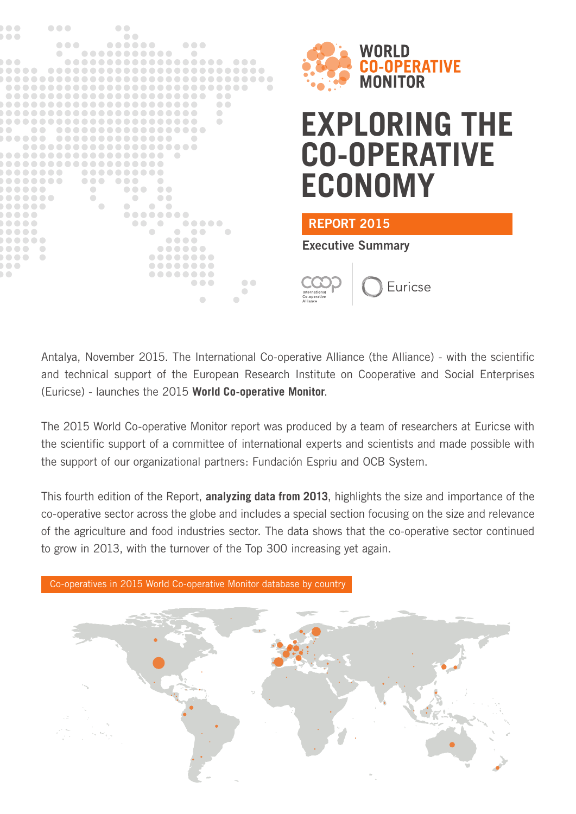



# **EXPLORING THE CO-OPERATIVE ECONOMY**

Euricse

#### REPORT 2015

Executive Summary

Antalya, November 2015. The International Co-operative Alliance (the Alliance) - with the scientific and technical support of the European Research Institute on Cooperative and Social Enterprises (Euricse) - launches the 2015 **World Co-operative Monitor**.

The 2015 World Co-operative Monitor report was produced by a team of researchers at Euricse with the scientific support of a committee of international experts and scientists and made possible with the support of our organizational partners: Fundación Espriu and OCB System.

This fourth edition of the Report, **analyzing data from 2013**, highlights the size and importance of the co-operative sector across the globe and includes a special section focusing on the size and relevance of the agriculture and food industries sector. The data shows that the co-operative sector continued to grow in 2013, with the turnover of the Top 300 increasing yet again.



Co-operatives in 2015 World Co-operative Monitor database by country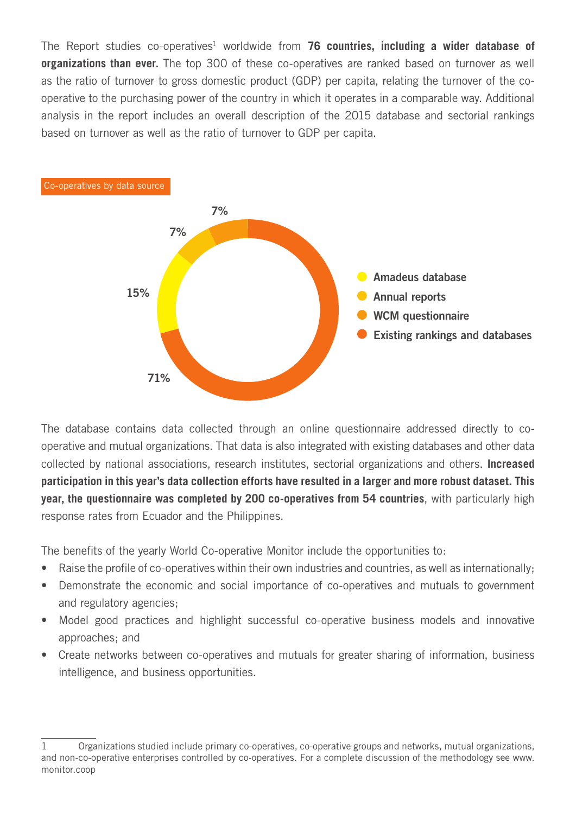The Report studies co-operatives<sup>1</sup> worldwide from **76 countries, including a wider database of organizations than ever.** The top 300 of these co-operatives are ranked based on turnover as well as the ratio of turnover to gross domestic product (GDP) per capita, relating the turnover of the cooperative to the purchasing power of the country in which it operates in a comparable way. Additional analysis in the report includes an overall description of the 2015 database and sectorial rankings based on turnover as well as the ratio of turnover to GDP per capita.



The database contains data collected through an online questionnaire addressed directly to cooperative and mutual organizations. That data is also integrated with existing databases and other data collected by national associations, research institutes, sectorial organizations and others. **Increased participation in this year's data collection efforts have resulted in a larger and more robust dataset. This year, the questionnaire was completed by 200 co-operatives from 54 countries**, with particularly high response rates from Ecuador and the Philippines.

The benefits of the yearly World Co-operative Monitor include the opportunities to:

- Raise the profile of co-operatives within their own industries and countries, as well as internationally;
- Demonstrate the economic and social importance of co-operatives and mutuals to government and regulatory agencies;
- Model good practices and highlight successful co-operative business models and innovative approaches; and
- Create networks between co-operatives and mutuals for greater sharing of information, business intelligence, and business opportunities.

<sup>1</sup> Organizations studied include primary co-operatives, co-operative groups and networks, mutual organizations, and non-co-operative enterprises controlled by co-operatives. For a complete discussion of the methodology see www. monitor.coop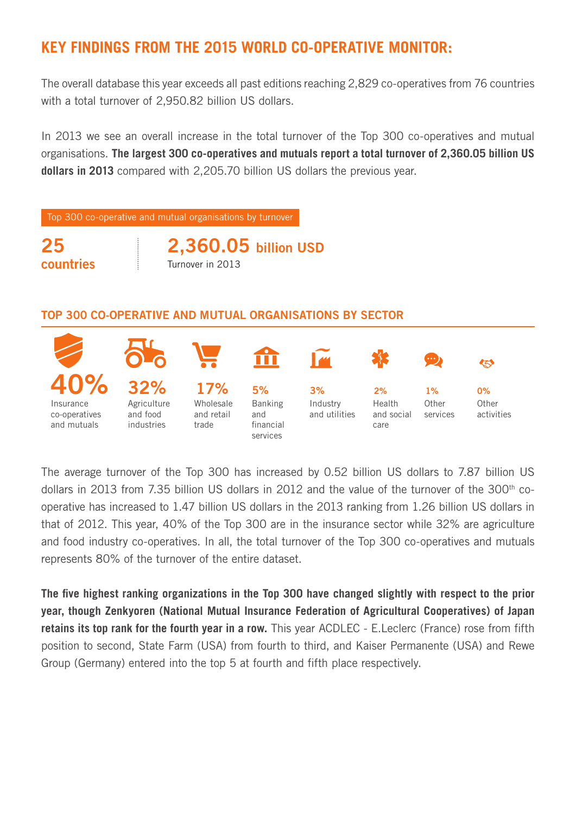## **KEY FINDINGS FROM THE 2015 WORLD CO-OPERATIVE MONITOR:**

The overall database this year exceeds all past editions reaching 2,829 co-operatives from 76 countries with a total turnover of 2,950.82 billion US dollars.

In 2013 we see an overall increase in the total turnover of the Top 300 co-operatives and mutual organisations. **The largest 300 co-operatives and mutuals report a total turnover of 2,360.05 billion US dollars in 2013** compared with 2,205.70 billion US dollars the previous year.

Top 300 co-operative and mutual organisations by turnover

25 countries

2,360.05 billion USD Turnover in 2013

#### TOP 300 CO-OPERATIVE AND MUTUAL ORGANISATIONS BY SECTOR



The average turnover of the Top 300 has increased by 0.52 billion US dollars to 7.87 billion US dollars in 2013 from 7.35 billion US dollars in 2012 and the value of the turnover of the 300<sup>th</sup> cooperative has increased to 1.47 billion US dollars in the 2013 ranking from 1.26 billion US dollars in that of 2012. This year, 40% of the Top 300 are in the insurance sector while 32% are agriculture and food industry co-operatives. In all, the total turnover of the Top 300 co-operatives and mutuals represents 80% of the turnover of the entire dataset.

**The five highest ranking organizations in the Top 300 have changed slightly with respect to the prior year, though Zenkyoren (National Mutual Insurance Federation of Agricultural Cooperatives) of Japan retains its top rank for the fourth year in a row.** This year ACDLEC - E.Leclerc (France) rose from fifth position to second, State Farm (USA) from fourth to third, and Kaiser Permanente (USA) and Rewe Group (Germany) entered into the top 5 at fourth and fifth place respectively.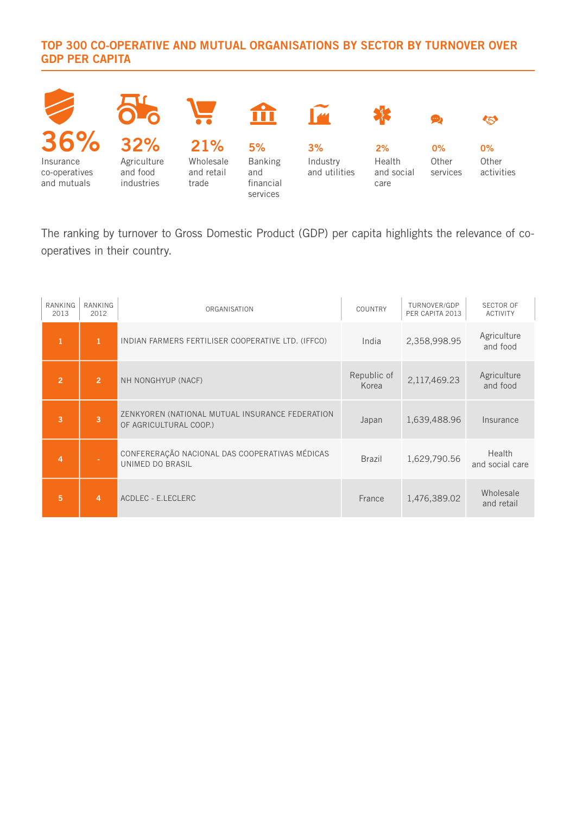#### TOP 300 CO-OPERATIVE AND MUTUAL ORGANISATIONS BY SECTOR BY TURNOVER OVER GDP PER CAPITA



The ranking by turnover to Gross Domestic Product (GDP) per capita highlights the relevance of cooperatives in their country.

| RANKING<br>2013 | RANKING<br>2012 | ORGANISATION                                                              | COUNTRY              | TURNOVER/GDP<br>PER CAPITA 2013 | <b>SECTOR OF</b><br><b>ACTIVITY</b> |
|-----------------|-----------------|---------------------------------------------------------------------------|----------------------|---------------------------------|-------------------------------------|
| 1               | $\mathbf{1}$    | INDIAN FARMERS FERTILISER COOPERATIVE LTD. (IFFCO)                        | India                | 2,358,998.95                    | Agriculture<br>and food             |
| $\overline{2}$  | $\overline{2}$  | NH NONGHYUP (NACF)                                                        | Republic of<br>Korea | 2,117,469.23                    | Agriculture<br>and food             |
| 3               | 3               | ZENKYOREN (NATIONAL MUTUAL INSURANCE FEDERATION<br>OF AGRICULTURAL COOP.) | Japan                | 1,639,488.96                    | Insurance                           |
| $\overline{4}$  |                 | CONFERERAÇÃO NACIONAL DAS COOPERATIVAS MÉDICAS<br>UNIMED DO BRASIL        | <b>Brazil</b>        | 1,629,790.56                    | Health<br>and social care           |
| 5               | 4               | ACDLEC - E.LECLERC                                                        | France               | 1,476,389.02                    | Wholesale<br>and retail             |